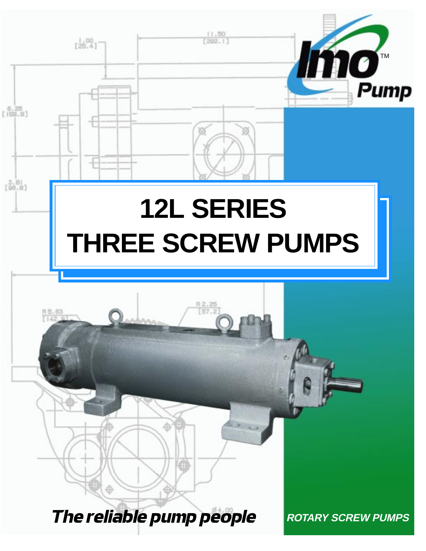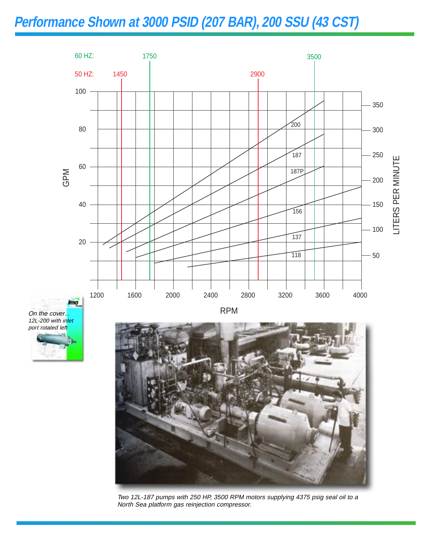### **Performance Shown at 3000 PSID (207 BAR), 200 SSU (43 CST)**



On the cover... 12L-200 with inlet port rotated left





Two 12L-187 pumps with 250 HP, 3500 RPM motors supplying 4375 psig seal oil to a North Sea platform gas reinjection compressor.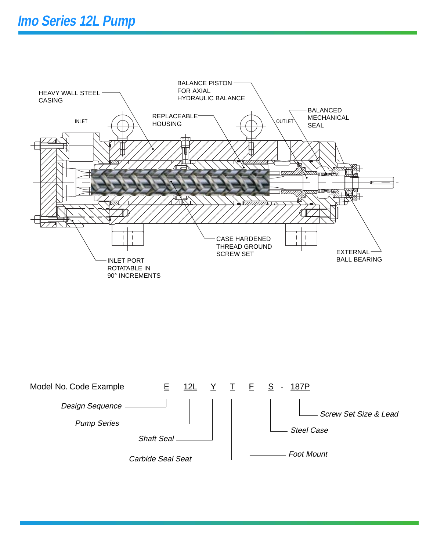

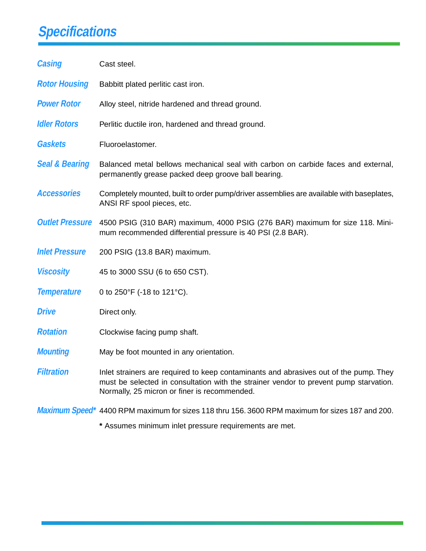# **Specifications**

| <b>Casing</b>             | Cast steel.                                                                                                                                                                                                                    |
|---------------------------|--------------------------------------------------------------------------------------------------------------------------------------------------------------------------------------------------------------------------------|
| <b>Rotor Housing</b>      | Babbitt plated perlitic cast iron.                                                                                                                                                                                             |
| <b>Power Rotor</b>        | Alloy steel, nitride hardened and thread ground.                                                                                                                                                                               |
| <b>Idler Rotors</b>       | Perlitic ductile iron, hardened and thread ground.                                                                                                                                                                             |
| <b>Gaskets</b>            | Fluoroelastomer.                                                                                                                                                                                                               |
| <b>Seal &amp; Bearing</b> | Balanced metal bellows mechanical seal with carbon on carbide faces and external,<br>permanently grease packed deep groove ball bearing.                                                                                       |
| <b>Accessories</b>        | Completely mounted, built to order pump/driver assemblies are available with baseplates,<br>ANSI RF spool pieces, etc.                                                                                                         |
| <b>Outlet Pressure</b>    | 4500 PSIG (310 BAR) maximum, 4000 PSIG (276 BAR) maximum for size 118. Mini-<br>mum recommended differential pressure is 40 PSI (2.8 BAR).                                                                                     |
| <b>Inlet Pressure</b>     | 200 PSIG (13.8 BAR) maximum.                                                                                                                                                                                                   |
| <b>Viscosity</b>          | 45 to 3000 SSU (6 to 650 CST).                                                                                                                                                                                                 |
| <b>Temperature</b>        | 0 to 250°F (-18 to 121°C).                                                                                                                                                                                                     |
| <b>Drive</b>              | Direct only.                                                                                                                                                                                                                   |
| <b>Rotation</b>           | Clockwise facing pump shaft.                                                                                                                                                                                                   |
| <b>Mounting</b>           | May be foot mounted in any orientation.                                                                                                                                                                                        |
| <b>Filtration</b>         | Inlet strainers are required to keep contaminants and abrasives out of the pump. They<br>must be selected in consultation with the strainer vendor to prevent pump starvation.<br>Normally, 25 micron or finer is recommended. |
|                           | Maximum Speed <sup>*</sup> 4400 RPM maximum for sizes 118 thru 156. 3600 RPM maximum for sizes 187 and 200.                                                                                                                    |

**\*** Assumes minimum inlet pressure requirements are met.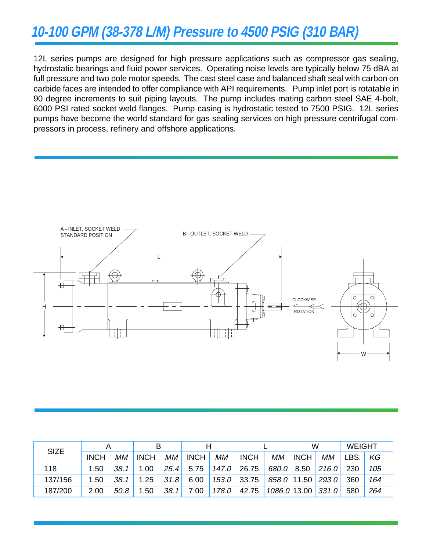## **10-100 GPM (38-378 L/M) Pressure to 4500 PSIG (310 BAR)**

12L series pumps are designed for high pressure applications such as compressor gas sealing, hydrostatic bearings and fluid power services. Operating noise levels are typically below 75 dBA at full pressure and two pole motor speeds. The cast steel case and balanced shaft seal with carbon on carbide faces are intended to offer compliance with API requirements. Pump inlet port is rotatable in 90 degree increments to suit piping layouts. The pump includes mating carbon steel SAE 4-bolt, 6000 PSI rated socket weld flanges. Pump casing is hydrostatic tested to 7500 PSIG. 12L series pumps have become the world standard for gas sealing services on high pressure centrifugal compressors in process, refinery and offshore applications.



| <b>SIZE</b> |             |      |             |      | н           |       |             |               | W           |       | <b>WEIGHT</b> |     |
|-------------|-------------|------|-------------|------|-------------|-------|-------------|---------------|-------------|-------|---------------|-----|
|             | <b>INCH</b> | MМ   | <b>INCH</b> | MМ   | <b>INCH</b> | МM    | <b>INCH</b> | МM            | <b>INCH</b> | МM    | _BS.          | KG  |
| 118         | 1.50        | 38.1 | 1.00        | 25.4 | 5.75        | 147.0 | 26.75       | 680.0         | 8.50        | 216.0 | 230           | 105 |
| 137/156     | 1.50        | 38.1 | 1.25        | 31.8 | 6.00        | 153.0 | 33.75       | $858.0$ 11.50 |             | 293.0 | 360           | 164 |
| 187/200     | 2.00        | 50.8 | .50         | 38.1 | 7.00        | 178.0 | 42.75       | 1086.0 13.00  |             | 331.0 | 580           | 264 |